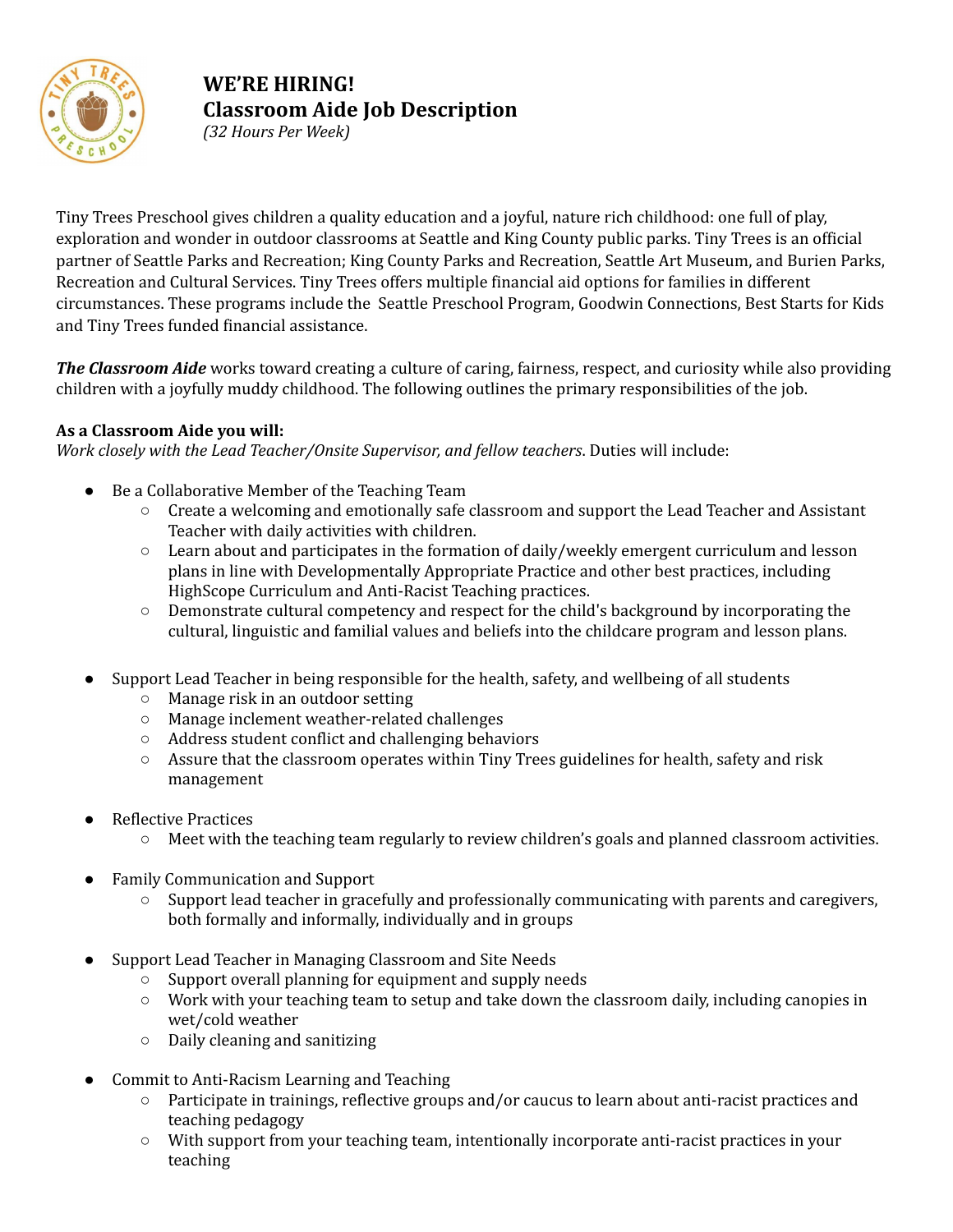

# **WE'RE HIRING! Classroom Aide Job Description**

*(32 Hours Per Week)*

Tiny Trees Preschool gives children a quality education and a joyful, nature rich childhood: one full of play, exploration and wonder in outdoor classrooms at Seattle and King County public parks. Tiny Trees is an official partner of Seattle Parks and Recreation; King County Parks and Recreation, Seattle Art Museum, and Burien Parks, Recreation and Cultural Services. Tiny Trees offers multiple financial aid options for families in different circumstances. These programs include the Seattle Preschool Program, Goodwin Connections, Best Starts for Kids and Tiny Trees funded financial assistance.

*The Classroom Aide* works toward creating a culture of caring, fairness, respect, and curiosity while also providing children with a joyfully muddy childhood. The following outlines the primary responsibilities of the job.

## **As a Classroom Aide you will:**

*Work closely with the Lead Teacher/Onsite Supervisor, and fellow teachers*. Duties will include:

- Be a Collaborative Member of the Teaching Team
	- Create a welcoming and emotionally safe classroom and support the Lead Teacher and Assistant Teacher with daily activities with children.
	- Learn about and participates in the formation of daily/weekly emergent curriculum and lesson plans in line with Developmentally Appropriate Practice and other best practices, including HighScope Curriculum and Anti-Racist Teaching practices.
	- Demonstrate cultural competency and respect for the child's background by incorporating the cultural, linguistic and familial values and beliefs into the childcare program and lesson plans.
- Support Lead Teacher in being responsible for the health, safety, and wellbeing of all students
	- Manage risk in an outdoor setting
	- Manage inclement weather-related challenges
	- Address student conflict and challenging behaviors
	- **○** Assure that the classroom operates within Tiny Trees guidelines for health, safety and risk management
- **Reflective Practices** 
	- Meet with the teaching team regularly to review children's goals and planned classroom activities.
- **Family Communication and Support** 
	- Support lead teacher in gracefully and professionally communicating with parents and caregivers, both formally and informally, individually and in groups
- Support Lead Teacher in Managing Classroom and Site Needs
	- Support overall planning for equipment and supply needs
	- Work with your teaching team to setup and take down the classroom daily, including canopies in wet/cold weather
	- Daily cleaning and sanitizing
- Commit to Anti-Racism Learning and Teaching
	- Participate in trainings, reflective groups and/or caucus to learn about anti-racist practices and teaching pedagogy
	- With support from your teaching team, intentionally incorporate anti-racist practices in your teaching